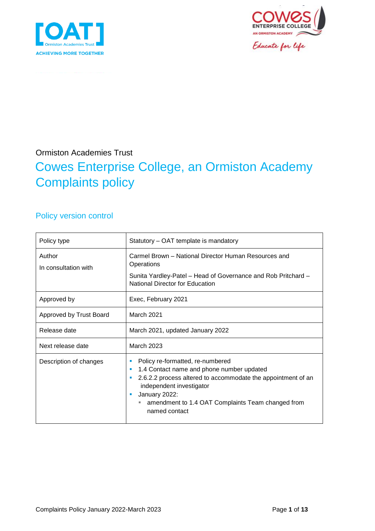



Educate for life

## Ormiston Academies Trust

## Cowes Enterprise College, an Ormiston Academy Complaints policy

## Policy version control

| Policy type                    | Statutory – OAT template is mandatory                                                                                                                                                                                                                                 |  |  |
|--------------------------------|-----------------------------------------------------------------------------------------------------------------------------------------------------------------------------------------------------------------------------------------------------------------------|--|--|
| Author<br>In consultation with | Carmel Brown - National Director Human Resources and<br>Operations<br>Sunita Yardley-Patel - Head of Governance and Rob Pritchard -<br><b>National Director for Education</b>                                                                                         |  |  |
| Approved by                    | Exec, February 2021                                                                                                                                                                                                                                                   |  |  |
| Approved by Trust Board        | March 2021                                                                                                                                                                                                                                                            |  |  |
| Release date                   | March 2021, updated January 2022                                                                                                                                                                                                                                      |  |  |
| Next release date              | March 2023                                                                                                                                                                                                                                                            |  |  |
| Description of changes         | Policy re-formatted, re-numbered<br>1.4 Contact name and phone number updated<br>×<br>2.6.2.2 process altered to accommodate the appointment of an<br>independent investigator<br>January 2022:<br>amendment to 1.4 OAT Complaints Team changed from<br>named contact |  |  |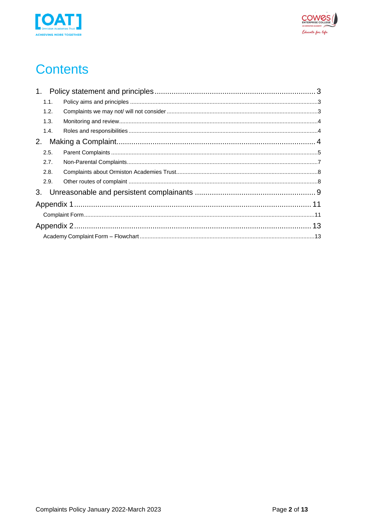



# **Contents**

| 1.1. |  |  |
|------|--|--|
| 1.2. |  |  |
| 1.3. |  |  |
| 1.4. |  |  |
| 2.   |  |  |
| 2.5. |  |  |
| 2.7. |  |  |
| 2.8. |  |  |
| 2.9. |  |  |
|      |  |  |
|      |  |  |
|      |  |  |
|      |  |  |
|      |  |  |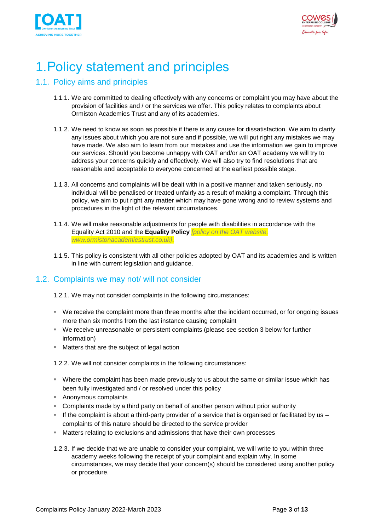



## <span id="page-2-0"></span>1.Policy statement and principles

### <span id="page-2-1"></span>1.1. Policy aims and principles

- 1.1.1. We are committed to dealing effectively with any concerns or complaint you may have about the provision of facilities and / or the services we offer. This policy relates to complaints about Ormiston Academies Trust and any of its academies.
- 1.1.2. We need to know as soon as possible if there is any cause for dissatisfaction. We aim to clarify any issues about which you are not sure and if possible, we will put right any mistakes we may have made. We also aim to learn from our mistakes and use the information we gain to improve our services. Should you become unhappy with OAT and/or an OAT academy we will try to address your concerns quickly and effectively. We will also try to find resolutions that are reasonable and acceptable to everyone concerned at the earliest possible stage.
- 1.1.3. All concerns and complaints will be dealt with in a positive manner and taken seriously, no individual will be penalised or treated unfairly as a result of making a complaint. Through this policy, we aim to put right any matter which may have gone wrong and to review systems and procedures in the light of the relevant circumstances.
- 1.1.4. We will make reasonable adjustments for people with disabilities in accordance with the Equality Act 2010 and the **Equality Policy** *[policy on the OAT website, www.ormistonacademiestrust.co.uk]*.
- 1.1.5. This policy is consistent with all other policies adopted by OAT and its academies and is written in line with current legislation and guidance.

### <span id="page-2-2"></span>1.2. Complaints we may not/ will not consider

- 1.2.1. We may not consider complaints in the following circumstances:
- We receive the complaint more than three months after the incident occurred, or for ongoing issues more than six months from the last instance causing complaint
- We receive unreasonable or persistent complaints (please see section 3 below for further information)
- Matters that are the subject of legal action
- 1.2.2. We will not consider complaints in the following circumstances:
- Where the complaint has been made previously to us about the same or similar issue which has been fully investigated and / or resolved under this policy
- Anonymous complaints
- **EX Complaints made by a third party on behalf of another person without prior authority**
- $\blacksquare$  If the complaint is about a third-party provider of a service that is organised or facilitated by us  $$ complaints of this nature should be directed to the service provider
- **EXEL Matters relating to exclusions and admissions that have their own processes**
- 1.2.3. If we decide that we are unable to consider your complaint, we will write to you within three academy weeks following the receipt of your complaint and explain why. In some circumstances, we may decide that your concern(s) should be considered using another policy or procedure.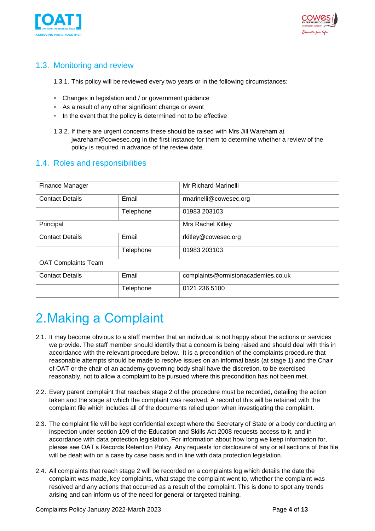



## <span id="page-3-0"></span>1.3. Monitoring and review

1.3.1. This policy will be reviewed every two years or in the following circumstances:

- Changes in legislation and / or government guidance
- As a result of any other significant change or event
- In the event that the policy is determined not to be effective
- 1.3.2. If there are urgent concerns these should be raised with Mrs Jill Wareham at jwareham@cowesec.org in the first instance for them to determine whether a review of the policy is required in advance of the review date.

## <span id="page-3-1"></span>1.4. Roles and responsibilities

| Finance Manager            |           | Mr Richard Marinelli               |  |  |
|----------------------------|-----------|------------------------------------|--|--|
| <b>Contact Details</b>     | Email     | rmarinelli@cowesec.org             |  |  |
|                            | Telephone | 01983 203103                       |  |  |
| Principal                  |           | Mrs Rachel Kitley                  |  |  |
| <b>Contact Details</b>     | Email     | rkitley@cowesec.org                |  |  |
|                            | Telephone | 01983 203103                       |  |  |
| <b>OAT Complaints Team</b> |           |                                    |  |  |
| <b>Contact Details</b>     | Email     | complaints@ormistonacademies.co.uk |  |  |
|                            | Telephone | 0121 236 5100                      |  |  |

## <span id="page-3-2"></span>2.Making a Complaint

- 2.1. It may become obvious to a staff member that an individual is not happy about the actions or services we provide. The staff member should identify that a concern is being raised and should deal with this in accordance with the relevant procedure below. It is a precondition of the complaints procedure that reasonable attempts should be made to resolve issues on an informal basis (at stage 1) and the Chair of OAT or the chair of an academy governing body shall have the discretion, to be exercised reasonably, not to allow a complaint to be pursued where this precondition has not been met.
- 2.2. Every parent complaint that reaches stage 2 of the procedure must be recorded, detailing the action taken and the stage at which the complaint was resolved. A record of this will be retained with the complaint file which includes all of the documents relied upon when investigating the complaint.
- 2.3. The complaint file will be kept confidential except where the Secretary of State or a body conducting an inspection under section 109 of the Education and Skills Act 2008 requests access to it, and in accordance with data protection legislation. For information about how long we keep information for, please see OAT's Records Retention Policy. Any requests for disclosure of any or all sections of this file will be dealt with on a case by case basis and in line with data protection legislation.
- 2.4. All complaints that reach stage 2 will be recorded on a complaints log which details the date the complaint was made, key complaints, what stage the complaint went to, whether the complaint was resolved and any actions that occurred as a result of the complaint. This is done to spot any trends arising and can inform us of the need for general or targeted training.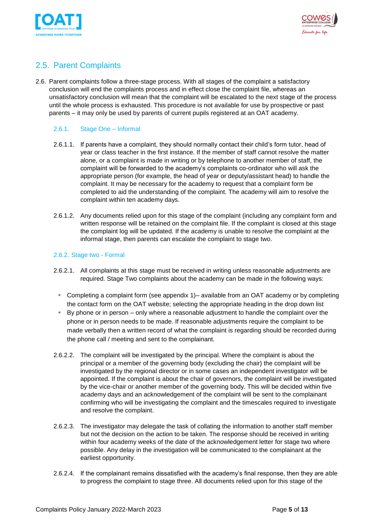



## <span id="page-4-0"></span>2.5. Parent Complaints

2.6. Parent complaints follow a three-stage process. With all stages of the complaint a satisfactory conclusion will end the complaints process and in effect close the complaint file, whereas an unsatisfactory conclusion will mean that the complaint will be escalated to the next stage of the process until the whole process is exhausted. This procedure is not available for use by prospective or past parents – it may only be used by parents of current pupils registered at an OAT academy.

#### 2.6.1. Stage One – Informal

- 2.6.1.1. If parents have a complaint, they should normally contact their child's form tutor, head of year or class teacher in the first instance. If the member of staff cannot resolve the matter alone, or a complaint is made in writing or by telephone to another member of staff, the complaint will be forwarded to the academy's complaints co-ordinator who will ask the appropriate person (for example, the head of year or deputy/assistant head) to handle the complaint. It may be necessary for the academy to request that a complaint form be completed to aid the understanding of the complaint. The academy will aim to resolve the complaint within ten academy days.
- 2.6.1.2. Any documents relied upon for this stage of the complaint (including any complaint form and written response will be retained on the complaint file. If the complaint is closed at this stage the complaint log will be updated. If the academy is unable to resolve the complaint at the informal stage, then parents can escalate the complaint to stage two.

#### 2.6.2. Stage two - Formal

- 2.6.2.1. All complaints at this stage must be received in writing unless reasonable adjustments are required. Stage Two complaints about the academy can be made in the following ways:
	- Completing a complaint form (see appendix 1)– available from an OAT academy or by completing the contact form on the [OAT website;](http://www.ormistonacademiestrust.co.uk/contact) selecting the appropriate heading in the drop down list
	- By phone or in person only where a reasonable adjustment to handle the complaint over the phone or in person needs to be made. If reasonable adjustments require the complaint to be made verbally then a written record of what the complaint is regarding should be recorded during the phone call / meeting and sent to the complainant.
- 2.6.2.2. The complaint will be investigated by the principal. Where the complaint is about the principal or a member of the governing body (excluding the chair) the complaint will be investigated by the regional director or in some cases an independent investigator will be appointed. If the complaint is about the chair of governors, the complaint will be investigated by the vice-chair or another member of the governing body. This will be decided within five academy days and an acknowledgement of the complaint will be sent to the complainant confirming who will be investigating the complaint and the timescales required to investigate and resolve the complaint.
- 2.6.2.3. The investigator may delegate the task of collating the information to another staff member but not the decision on the action to be taken. The response should be received in writing within four academy weeks of the date of the acknowledgement letter for stage two where possible. Any delay in the investigation will be communicated to the complainant at the earliest opportunity.
- 2.6.2.4. If the complainant remains dissatisfied with the academy's final response, then they are able to progress the complaint to stage three. All documents relied upon for this stage of the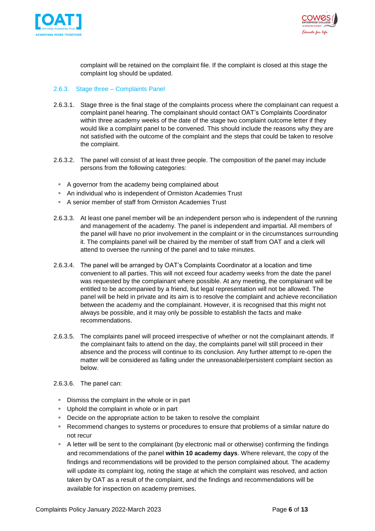



complaint will be retained on the complaint file. If the complaint is closed at this stage the complaint log should be updated.

#### 2.6.3. Stage three – Complaints Panel

- 2.6.3.1. Stage three is the final stage of the complaints process where the complainant can request a complaint panel hearing. The complainant should contact OAT's Complaints Coordinator within three academy weeks of the date of the stage two complaint outcome letter if they would like a complaint panel to be convened. This should include the reasons why they are not satisfied with the outcome of the complaint and the steps that could be taken to resolve the complaint.
- 2.6.3.2. The panel will consist of at least three people. The composition of the panel may include persons from the following categories:
- A governor from the academy being complained about
- An individual who is independent of Ormiston Academies Trust
- A senior member of staff from Ormiston Academies Trust
- 2.6.3.3. At least one panel member will be an independent person who is independent of the running and management of the academy. The panel is independent and impartial. All members of the panel will have no prior involvement in the complaint or in the circumstances surrounding it. The complaints panel will be chaired by the member of staff from OAT and a clerk will attend to oversee the running of the panel and to take minutes.
- 2.6.3.4. The panel will be arranged by OAT's Complaints Coordinator at a location and time convenient to all parties. This will not exceed four academy weeks from the date the panel was requested by the complainant where possible. At any meeting, the complainant will be entitled to be accompanied by a friend, but legal representation will not be allowed. The panel will be held in private and its aim is to resolve the complaint and achieve reconciliation between the academy and the complainant. However, it is recognised that this might not always be possible, and it may only be possible to establish the facts and make recommendations.
- 2.6.3.5. The complaints panel will proceed irrespective of whether or not the complainant attends. If the complainant fails to attend on the day, the complaints panel will still proceed in their absence and the process will continue to its conclusion. Any further attempt to re-open the matter will be considered as falling under the unreasonable/persistent complaint section as below.
- 2.6.3.6. The panel can:
	- **EXED** Dismiss the complaint in the whole or in part
	- Uphold the complaint in whole or in part
	- Decide on the appropriate action to be taken to resolve the complaint
	- Recommend changes to systems or procedures to ensure that problems of a similar nature do not recur
	- A letter will be sent to the complainant (by electronic mail or otherwise) confirming the findings and recommendations of the panel **within 10 academy days**. Where relevant, the copy of the findings and recommendations will be provided to the person complained about. The academy will update its complaint log, noting the stage at which the complaint was resolved, and action taken by OAT as a result of the complaint, and the findings and recommendations will be available for inspection on academy premises.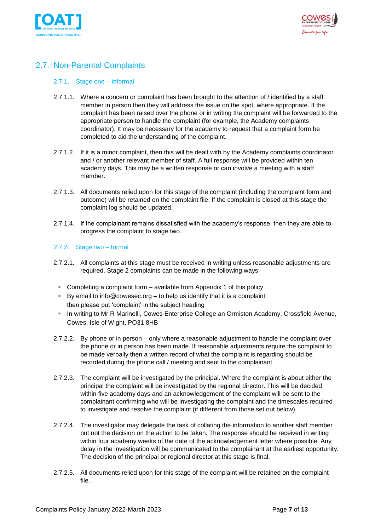



## <span id="page-6-0"></span>2.7. Non-Parental Complaints

#### 2.7.1. Stage one – informal

- 2.7.1.1. Where a concern or complaint has been brought to the attention of / identified by a staff member in person then they will address the issue on the spot, where appropriate. If the complaint has been raised over the phone or in writing the complaint will be forwarded to the appropriate person to handle the complaint (for example, the Academy complaints coordinator). It may be necessary for the academy to request that a complaint form be completed to aid the understanding of the complaint.
- 2.7.1.2. If it is a minor complaint, then this will be dealt with by the Academy complaints coordinator and / or another relevant member of staff. A full response will be provided within ten academy days. This may be a written response or can involve a meeting with a staff member.
- 2.7.1.3. All documents relied upon for this stage of the complaint (including the complaint form and outcome) will be retained on the complaint file. If the complaint is closed at this stage the complaint log should be updated.
- 2.7.1.4. If the complainant remains dissatisfied with the academy's response, then they are able to progress the complaint to stage two.

#### 2.7.2. Stage two – formal

- 2.7.2.1. All complaints at this stage must be received in writing unless reasonable adjustments are required. Stage 2 complaints can be made in the following ways:
- Completing a complaint form available from Appendix 1 of this policy
- By email to info@cowesec.org to help us identify that it is a complaint then please put 'complaint' in the subject heading
- In writing to Mr R Marinelli, Cowes Enterprise College an Ormiston Academy, Crossfield Avenue, Cowes, Isle of Wight, PO31 8HB
- 2.7.2.2. By phone or in person only where a reasonable adjustment to handle the complaint over the phone or in person has been made. If reasonable adjustments require the complaint to be made verbally then a written record of what the complaint is regarding should be recorded during the phone call / meeting and sent to the complainant.
- 2.7.2.3. The complaint will be investigated by the principal. Where the complaint is about either the principal the complaint will be investigated by the regional director. This will be decided within five academy days and an acknowledgement of the complaint will be sent to the complainant confirming who will be investigating the complaint and the timescales required to investigate and resolve the complaint (if different from those set out below).
- 2.7.2.4. The investigator may delegate the task of collating the information to another staff member but not the decision on the action to be taken. The response should be received in writing within four academy weeks of the date of the acknowledgement letter where possible. Any delay in the investigation will be communicated to the complainant at the earliest opportunity. The decision of the principal or regional director at this stage is final.
- 2.7.2.5. All documents relied upon for this stage of the complaint will be retained on the complaint file.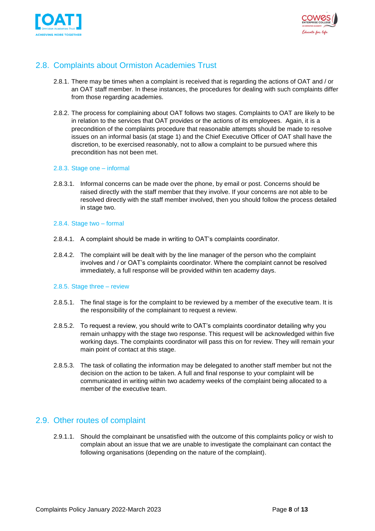



### <span id="page-7-0"></span>2.8. Complaints about Ormiston Academies Trust

- 2.8.1. There may be times when a complaint is received that is regarding the actions of OAT and / or an OAT staff member. In these instances, the procedures for dealing with such complaints differ from those regarding academies.
- 2.8.2. The process for complaining about OAT follows two stages. Complaints to OAT are likely to be in relation to the services that OAT provides or the actions of its employees. Again, it is a precondition of the complaints procedure that reasonable attempts should be made to resolve issues on an informal basis (at stage 1) and the Chief Executive Officer of OAT shall have the discretion, to be exercised reasonably, not to allow a complaint to be pursued where this precondition has not been met.

#### 2.8.3. Stage one – informal

2.8.3.1. Informal concerns can be made over the phone, by email or post. Concerns should be raised directly with the staff member that they involve. If your concerns are not able to be resolved directly with the staff member involved, then you should follow the process detailed in stage two.

#### 2.8.4. Stage two – formal

- 2.8.4.1. A complaint should be made in writing to OAT's complaints coordinator.
- 2.8.4.2. The complaint will be dealt with by the line manager of the person who the complaint involves and / or OAT's complaints coordinator. Where the complaint cannot be resolved immediately, a full response will be provided within ten academy days.

#### 2.8.5. Stage three – review

- 2.8.5.1. The final stage is for the complaint to be reviewed by a member of the executive team. It is the responsibility of the complainant to request a review.
- 2.8.5.2. To request a review, you should write to OAT's complaints coordinator detailing why you remain unhappy with the stage two response. This request will be acknowledged within five working days. The complaints coordinator will pass this on for review. They will remain your main point of contact at this stage.
- 2.8.5.3. The task of collating the information may be delegated to another staff member but not the decision on the action to be taken. A full and final response to your complaint will be communicated in writing within two academy weeks of the complaint being allocated to a member of the executive team.

#### <span id="page-7-1"></span>2.9. Other routes of complaint

2.9.1.1. Should the complainant be unsatisfied with the outcome of this complaints policy or wish to complain about an issue that we are unable to investigate the complainant can contact the following organisations (depending on the nature of the complaint).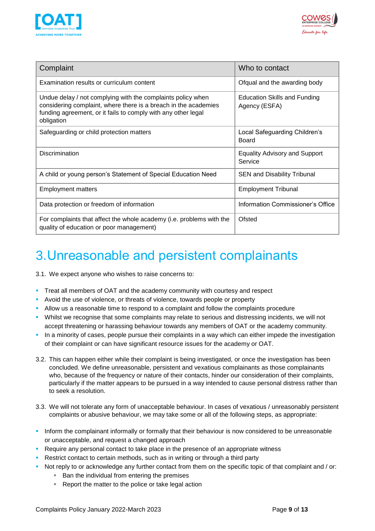



| Complaint                                                                                                                                                                                                     | Who to contact                                       |  |
|---------------------------------------------------------------------------------------------------------------------------------------------------------------------------------------------------------------|------------------------------------------------------|--|
| Examination results or curriculum content                                                                                                                                                                     | Ofqual and the awarding body                         |  |
| Undue delay / not complying with the complaints policy when<br>considering complaint, where there is a breach in the academies<br>funding agreement, or it fails to comply with any other legal<br>obligation | <b>Education Skills and Funding</b><br>Agency (ESFA) |  |
| Safeguarding or child protection matters                                                                                                                                                                      | Local Safeguarding Children's<br><b>Board</b>        |  |
| <b>Discrimination</b>                                                                                                                                                                                         | <b>Equality Advisory and Support</b><br>Service      |  |
| A child or young person's Statement of Special Education Need                                                                                                                                                 | <b>SEN and Disability Tribunal</b>                   |  |
| <b>Employment matters</b>                                                                                                                                                                                     | <b>Employment Tribunal</b>                           |  |
| Data protection or freedom of information                                                                                                                                                                     | Information Commissioner's Office                    |  |
| For complaints that affect the whole academy (i.e. problems with the<br>quality of education or poor management)                                                                                              | Ofsted                                               |  |

## <span id="page-8-0"></span>3.Unreasonable and persistent complainants

3.1. We expect anyone who wishes to raise concerns to:

- **Treat all members of OAT and the academy community with courtesy and respect**
- Avoid the use of violence, or threats of violence, towards people or property
- **EXECT** Allow us a reasonable time to respond to a complaint and follow the complaints procedure
- Whilst we recognise that some complaints may relate to serious and distressing incidents, we will not accept threatening or harassing behaviour towards any members of OAT or the academy community.
- In a minority of cases, people pursue their complaints in a way which can either impede the investigation of their complaint or can have significant resource issues for the academy or OAT.
- 3.2. This can happen either while their complaint is being investigated, or once the investigation has been concluded. We define unreasonable, persistent and vexatious complainants as those complainants who, because of the frequency or nature of their contacts, hinder our consideration of their complaints, particularly if the matter appears to be pursued in a way intended to cause personal distress rather than to seek a resolution.
- 3.3. We will not tolerate any form of unacceptable behaviour. In cases of vexatious / unreasonably persistent complaints or abusive behaviour, we may take some or all of the following steps, as appropriate:
- **•** Inform the complainant informally or formally that their behaviour is now considered to be unreasonable or unacceptable, and request a changed approach
- **Require any personal contact to take place in the presence of an appropriate witness**
- Restrict contact to certain methods, such as in writing or through a third party
- Not reply to or acknowledge any further contact from them on the specific topic of that complaint and / or:
	- Ban the individual from entering the premises
	- Report the matter to the police or take legal action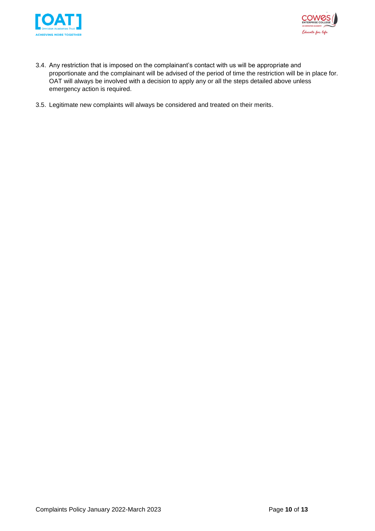



- 3.4. Any restriction that is imposed on the complainant's contact with us will be appropriate and proportionate and the complainant will be advised of the period of time the restriction will be in place for. OAT will always be involved with a decision to apply any or all the steps detailed above unless emergency action is required.
- 3.5. Legitimate new complaints will always be considered and treated on their merits.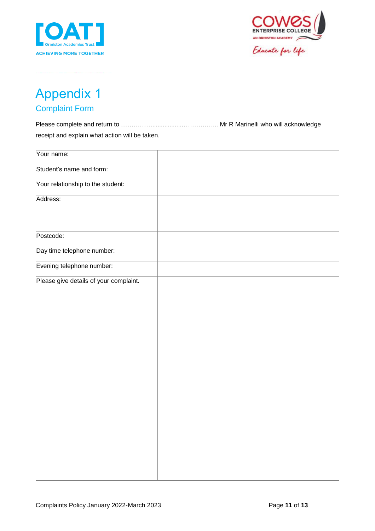



Educate for life

## <span id="page-10-0"></span>Appendix 1 Complaint Form

<span id="page-10-1"></span>Please complete and return to …………….................……………... Mr R Marinelli who will acknowledge receipt and explain what action will be taken.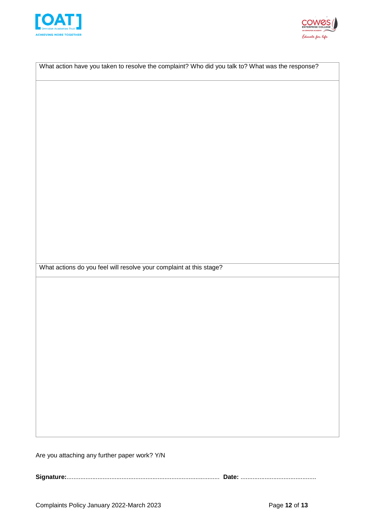



|                                                                     | What action have you taken to resolve the complaint? Who did you talk to? What was the response? |
|---------------------------------------------------------------------|--------------------------------------------------------------------------------------------------|
|                                                                     |                                                                                                  |
|                                                                     |                                                                                                  |
|                                                                     |                                                                                                  |
|                                                                     |                                                                                                  |
|                                                                     |                                                                                                  |
|                                                                     |                                                                                                  |
|                                                                     |                                                                                                  |
|                                                                     |                                                                                                  |
|                                                                     |                                                                                                  |
|                                                                     |                                                                                                  |
|                                                                     |                                                                                                  |
|                                                                     |                                                                                                  |
| What actions do you feel will resolve your complaint at this stage? |                                                                                                  |
|                                                                     |                                                                                                  |
|                                                                     |                                                                                                  |
|                                                                     |                                                                                                  |
|                                                                     |                                                                                                  |
|                                                                     |                                                                                                  |
|                                                                     |                                                                                                  |
|                                                                     |                                                                                                  |
|                                                                     |                                                                                                  |
|                                                                     |                                                                                                  |
|                                                                     |                                                                                                  |
|                                                                     |                                                                                                  |

**Signature:**......................................................................................... **Date:** ............................................